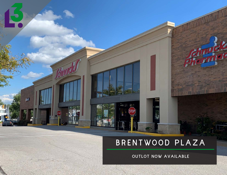**STOP** 

**STOP** 

**Charles** 

 $\overline{\mathbf{p}}$ 

OUTLOT NOW AVAILABLE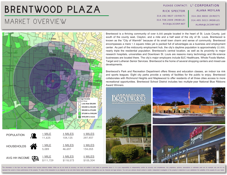#### MARKET OVERVIEW

|                       | PLEASE CONTACT: 1 <sup>3</sup> CORPORATION |
|-----------------------|--------------------------------------------|
| <b>RICK SPECTOR</b>   | ALANA MOYLAN                               |
| 314.282.9827 (DIRECT) | 314.282.9830 (DIRECT)                      |
| 314.708.2009 (MOBILE) | 314.495.5013 (MOBILE)                      |
| RICK@L3CORP.NET       | ALANA@L3CORP.NET                           |
|                       |                                            |



Brentwood is a thriving community of over 8,000 people located in the heart of St. Louis County, just south of the county seat, Clayton, and a mile and a half west of the city of St. Louis. Brentwood is known as the "City of Warmth" because of its small town charm and sense of community. Brentwood encompasses a mere 1.5 square miles yet is packed full of advantages as a business and employment center. As part of the midcounty employment hub, the city's daytime population is approximately 22,000, nearly triple the residential population. Brentwood's central location, as well as its proximity to major research hospitals, universities and Downtown St. Louis are reasons many technology and life-science businesses are located there. The city's major employers include BJC Healthcare, Whole Foods Market, Target and Lutheran Senior Services. Brentwood is the home of several shopping centers and mixed-use developments.

Brentwood's Park and Recreation Department offers fitness and education classes, an indoor ice rink and sports leagues. Eight city parks provide a variety of facilities for the public to enjoy. Brentwood collaborates with Richmond Heights and Maplewood to offer residents of all three cities access to more recreational opportunities. Brentwood School District includes two multiple-year National Blue Ribbons Award Winners.



confirm its accuracy and completeness. Any projections, opinions, assumptions or estimates used are for example only nduct a careful independent investigation of the property to det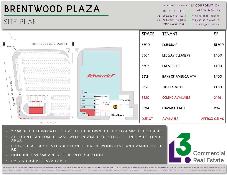#### SITE PLAN

RICK SPECTOR 314.282.9827 (DIRECT) 314.708.2009 (MOBILE) RICK@L3CORP.NET PLEASE CONTACT: L<sup>3</sup> CORPORATION 314.282.9830 (DIRECT) 314.495.5013 (MOBILE) ALANA@L3CORP.NET ALANA MOYLAN

**Commercial** 

**Real Estate** 



- 2,100 SF BUILDING WITH DRIVE THRU SHOWN BUT UP TO 4,500 SF POSSIBLE
- AFFLUENT CUSTOMER BASE WITH INCOMES OF \$113,000+ IN 3 MILE TRADE AREA
- LOCATED AT BUSY INTERSECTION OF BRENTWOOD BLVD AND MANCHESTER RD
- COMBINED 59,000 VPD AT THE INTERSECTION
- PYLON SIGNAGE AVAILABLE

The information in this flyer has been obtained from sources believed reliable. While we do not doubt its accuracy, we have not verified it and make no guarantee about it. It is your responsibility to independently confirm represent the current or future performance of the property. Th value of this transaction to you depends on tax and other factors which should be evaluated by your tax, financial and legal advisors. You and your advisors s